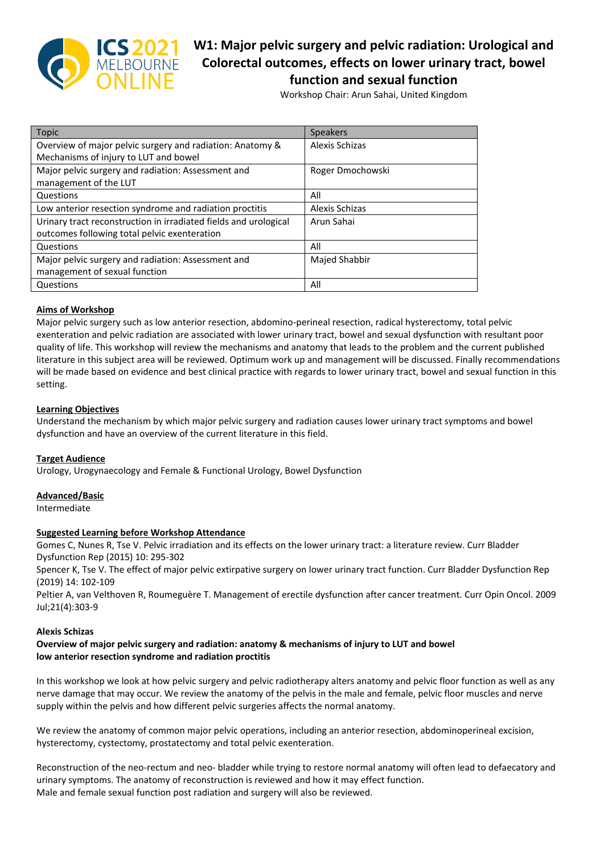

# **W1: Major pelvic surgery and pelvic radiation: Urological and Colorectal outcomes, effects on lower urinary tract, bowel function and sexual function**

Workshop Chair: Arun Sahai, United Kingdom

| Topic                                                            | <b>Speakers</b>      |
|------------------------------------------------------------------|----------------------|
| Overview of major pelvic surgery and radiation: Anatomy &        | Alexis Schizas       |
| Mechanisms of injury to LUT and bowel                            |                      |
| Major pelvic surgery and radiation: Assessment and               | Roger Dmochowski     |
| management of the LUT                                            |                      |
| Questions                                                        | All                  |
| Low anterior resection syndrome and radiation proctitis          | Alexis Schizas       |
| Urinary tract reconstruction in irradiated fields and urological | Arun Sahai           |
| outcomes following total pelvic exenteration                     |                      |
| Questions                                                        | All                  |
| Major pelvic surgery and radiation: Assessment and               | <b>Majed Shabbir</b> |
| management of sexual function                                    |                      |
| Questions                                                        | All                  |

# **Aims of Workshop**

Major pelvic surgery such as low anterior resection, abdomino-perineal resection, radical hysterectomy, total pelvic exenteration and pelvic radiation are associated with lower urinary tract, bowel and sexual dysfunction with resultant poor quality of life. This workshop will review the mechanisms and anatomy that leads to the problem and the current published literature in this subject area will be reviewed. Optimum work up and management will be discussed. Finally recommendations will be made based on evidence and best clinical practice with regards to lower urinary tract, bowel and sexual function in this setting.

#### **Learning Objectives**

Understand the mechanism by which major pelvic surgery and radiation causes lower urinary tract symptoms and bowel dysfunction and have an overview of the current literature in this field.

#### **Target Audience**

Urology, Urogynaecology and Female & Functional Urology, Bowel Dysfunction

#### **Advanced/Basic**

Intermediate

#### **Suggested Learning before Workshop Attendance**

Gomes C, Nunes R, Tse V. Pelvic irradiation and its effects on the lower urinary tract: a literature review. Curr Bladder Dysfunction Rep (2015) 10: 295-302

Spencer K, Tse V. The effect of major pelvic extirpative surgery on lower urinary tract function. Curr Bladder Dysfunction Rep (2019) 14: 102-109

Peltier A, van Velthoven R, Roumeguère T. Management of erectile dysfunction after cancer treatment. Curr Opin Oncol. 2009 Jul;21(4):303-9

#### **Alexis Schizas**

#### **Overview of major pelvic surgery and radiation: anatomy & mechanisms of injury to LUT and bowel low anterior resection syndrome and radiation proctitis**

In this workshop we look at how pelvic surgery and pelvic radiotherapy alters anatomy and pelvic floor function as well as any nerve damage that may occur. We review the anatomy of the pelvis in the male and female, pelvic floor muscles and nerve supply within the pelvis and how different pelvic surgeries affects the normal anatomy.

We review the anatomy of common major pelvic operations, including an anterior resection, abdominoperineal excision, hysterectomy, cystectomy, prostatectomy and total pelvic exenteration.

Reconstruction of the neo-rectum and neo- bladder while trying to restore normal anatomy will often lead to defaecatory and urinary symptoms. The anatomy of reconstruction is reviewed and how it may effect function. Male and female sexual function post radiation and surgery will also be reviewed.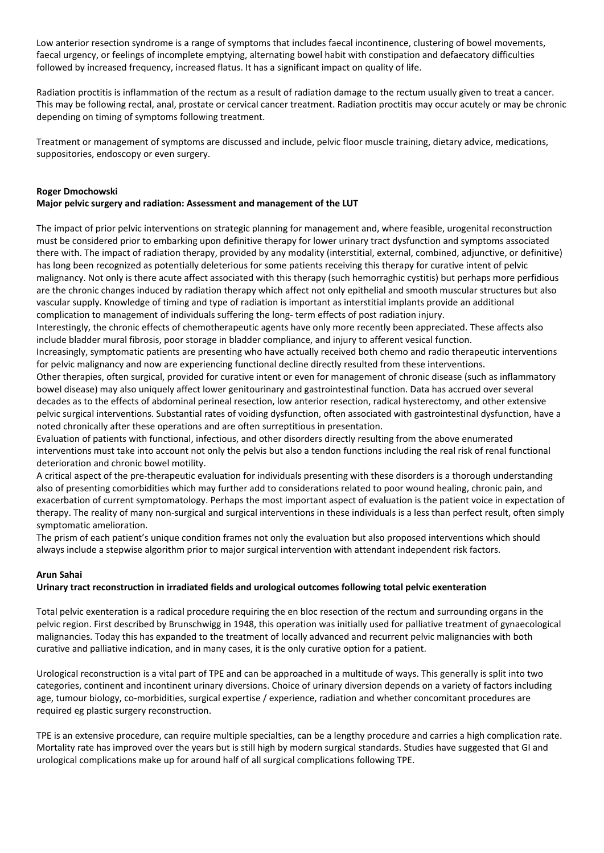Low anterior resection syndrome is a range of symptoms that includes faecal incontinence, clustering of bowel movements, faecal urgency, or feelings of incomplete emptying, alternating bowel habit with constipation and defaecatory difficulties followed by increased frequency, increased flatus. It has a significant impact on quality of life.

Radiation proctitis is inflammation of the rectum as a result of radiation damage to the rectum usually given to treat a cancer. This may be following rectal, anal, prostate or cervical cancer treatment. Radiation proctitis may occur acutely or may be chronic depending on timing of symptoms following treatment.

Treatment or management of symptoms are discussed and include, pelvic floor muscle training, dietary advice, medications, suppositories, endoscopy or even surgery.

#### **Roger Dmochowski Major pelvic surgery and radiation: Assessment and management of the LUT**

The impact of prior pelvic interventions on strategic planning for management and, where feasible, urogenital reconstruction must be considered prior to embarking upon definitive therapy for lower urinary tract dysfunction and symptoms associated there with. The impact of radiation therapy, provided by any modality (interstitial, external, combined, adjunctive, or definitive) has long been recognized as potentially deleterious for some patients receiving this therapy for curative intent of pelvic malignancy. Not only is there acute affect associated with this therapy (such hemorraghic cystitis) but perhaps more perfidious are the chronic changes induced by radiation therapy which affect not only epithelial and smooth muscular structures but also vascular supply. Knowledge of timing and type of radiation is important as interstitial implants provide an additional complication to management of individuals suffering the long- term effects of post radiation injury.

Interestingly, the chronic effects of chemotherapeutic agents have only more recently been appreciated. These affects also include bladder mural fibrosis, poor storage in bladder compliance, and injury to afferent vesical function.

Increasingly, symptomatic patients are presenting who have actually received both chemo and radio therapeutic interventions for pelvic malignancy and now are experiencing functional decline directly resulted from these interventions.

Other therapies, often surgical, provided for curative intent or even for management of chronic disease (such as inflammatory bowel disease) may also uniquely affect lower genitourinary and gastrointestinal function. Data has accrued over several decades as to the effects of abdominal perineal resection, low anterior resection, radical hysterectomy, and other extensive pelvic surgical interventions. Substantial rates of voiding dysfunction, often associated with gastrointestinal dysfunction, have a noted chronically after these operations and are often surreptitious in presentation.

Evaluation of patients with functional, infectious, and other disorders directly resulting from the above enumerated interventions must take into account not only the pelvis but also a tendon functions including the real risk of renal functional deterioration and chronic bowel motility.

A critical aspect of the pre-therapeutic evaluation for individuals presenting with these disorders is a thorough understanding also of presenting comorbidities which may further add to considerations related to poor wound healing, chronic pain, and exacerbation of current symptomatology. Perhaps the most important aspect of evaluation is the patient voice in expectation of therapy. The reality of many non-surgical and surgical interventions in these individuals is a less than perfect result, often simply symptomatic amelioration.

The prism of each patient's unique condition frames not only the evaluation but also proposed interventions which should always include a stepwise algorithm prior to major surgical intervention with attendant independent risk factors.

# **Arun Sahai**

#### **Urinary tract reconstruction in irradiated fields and urological outcomes following total pelvic exenteration**

Total pelvic exenteration is a radical procedure requiring the en bloc resection of the rectum and surrounding organs in the pelvic region. First described by Brunschwigg in 1948, this operation was initially used for palliative treatment of gynaecological malignancies. Today this has expanded to the treatment of locally advanced and recurrent pelvic malignancies with both curative and palliative indication, and in many cases, it is the only curative option for a patient.

Urological reconstruction is a vital part of TPE and can be approached in a multitude of ways. This generally is split into two categories, continent and incontinent urinary diversions. Choice of urinary diversion depends on a variety of factors including age, tumour biology, co-morbidities, surgical expertise / experience, radiation and whether concomitant procedures are required eg plastic surgery reconstruction.

TPE is an extensive procedure, can require multiple specialties, can be a lengthy procedure and carries a high complication rate. Mortality rate has improved over the years but is still high by modern surgical standards. Studies have suggested that GI and urological complications make up for around half of all surgical complications following TPE.